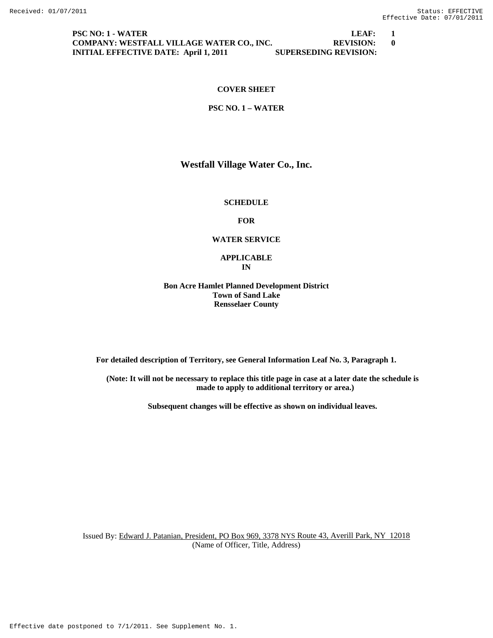**PSC NO: 1 - WATER LEAF: 1 COMPANY: WESTFALL VILLAGE WATER CO., INC.** REVISION: 0<br>INITIAL EFFECTIVE DATE: April 1, 2011 SUPERSEDING REVISION: **INITIAL EFFECTIVE DATE: April 1, 2011** 

# **COVER SHEET**

#### **PSC NO. 1 – WATER**

# **Westfall Village Water Co., Inc.**

#### **SCHEDULE**

#### **FOR**

# **WATER SERVICE**

## **APPLICABLE IN**

# **Bon Acre Hamlet Planned Development District Town of Sand Lake Rensselaer County**

**For detailed description of Territory, see General Information Leaf No. 3, Paragraph 1.** 

**(Note: It will not be necessary to replace this title page in case at a later date the schedule is made to apply to additional territory or area.)** 

**Subsequent changes will be effective as shown on individual leaves.**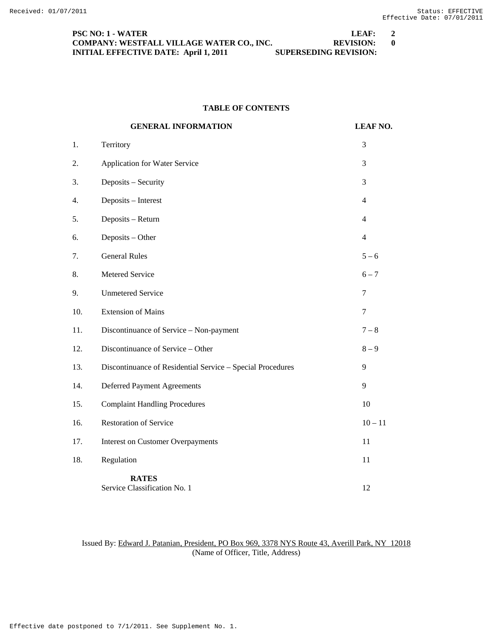| <b>PSC NO: 1 - WATER</b>                     | LFAF:                        |     |
|----------------------------------------------|------------------------------|-----|
| COMPANY: WESTFALL VILLAGE WATER CO., INC.    | <b>REVISION:</b>             | - 0 |
| <b>INITIAL EFFECTIVE DATE: April 1, 2011</b> | <b>SUPERSEDING REVISION:</b> |     |

# **TABLE OF CONTENTS**

|     | <b>GENERAL INFORMATION</b>                                 | <b>LEAF NO.</b> |
|-----|------------------------------------------------------------|-----------------|
| 1.  | Territory                                                  | 3               |
| 2.  | <b>Application for Water Service</b>                       | 3               |
| 3.  | Deposits - Security                                        | 3               |
| 4.  | Deposits - Interest                                        | $\overline{4}$  |
| 5.  | Deposits - Return                                          | $\overline{4}$  |
| 6.  | Deposits - Other                                           | $\overline{4}$  |
| 7.  | <b>General Rules</b>                                       | $5 - 6$         |
| 8.  | Metered Service                                            | $6 - 7$         |
| 9.  | <b>Unmetered Service</b>                                   | 7               |
| 10. | <b>Extension of Mains</b>                                  | $\overline{7}$  |
| 11. | Discontinuance of Service - Non-payment                    | $7-8$           |
| 12. | Discontinuance of Service - Other                          | $8-9$           |
| 13. | Discontinuance of Residential Service - Special Procedures | 9               |
| 14. | <b>Deferred Payment Agreements</b>                         | 9               |
| 15. | <b>Complaint Handling Procedures</b>                       | 10              |
| 16. | <b>Restoration of Service</b>                              | $10 - 11$       |
| 17. | <b>Interest on Customer Overpayments</b>                   | 11              |
| 18. | Regulation                                                 | 11              |
|     | <b>RATES</b><br>Service Classification No. 1               | 12              |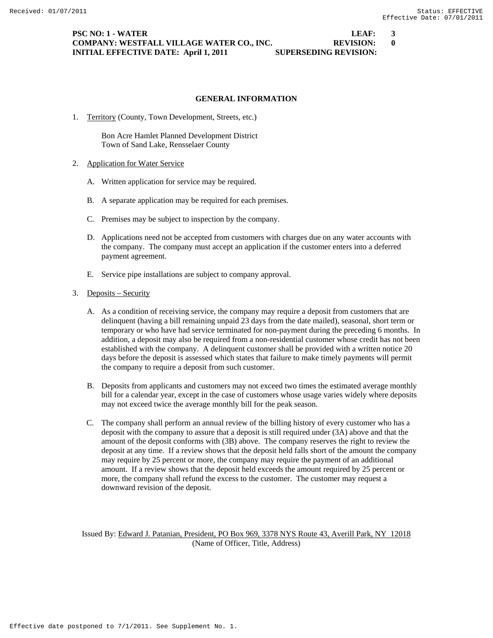# **PSC NO: 1 - WATER LEAF: 3 COMPANY: WESTFALL VILLAGE WATER CO., INC. REVISION: 0 INITIAL EFFECTIVE DATE: April 1, 2011 SUPERSEDING REVISION:**

## **GENERAL INFORMATION**

1. Territory (County, Town Development, Streets, etc.)

Bon Acre Hamlet Planned Development District Town of Sand Lake, Rensselaer County

- 2. Application for Water Service
	- A. Written application for service may be required.
	- B. A separate application may be required for each premises.
	- C. Premises may be subject to inspection by the company.
	- D. Applications need not be accepted from customers with charges due on any water accounts with the company. The company must accept an application if the customer enters into a deferred payment agreement.
	- E. Service pipe installations are subject to company approval.

#### 3. Deposits – Security

- A. As a condition of receiving service, the company may require a deposit from customers that are delinquent (having a bill remaining unpaid 23 days from the date mailed), seasonal, short term or temporary or who have had service terminated for non-payment during the preceding 6 months. In addition, a deposit may also be required from a non-residential customer whose credit has not been established with the company. A delinquent customer shall be provided with a written notice 20 days before the deposit is assessed which states that failure to make timely payments will permit the company to require a deposit from such customer.
- B. Deposits from applicants and customers may not exceed two times the estimated average monthly bill for a calendar year, except in the case of customers whose usage varies widely where deposits may not exceed twice the average monthly bill for the peak season.
- C. The company shall perform an annual review of the billing history of every customer who has a deposit with the company to assure that a deposit is still required under (3A) above and that the amount of the deposit conforms with (3B) above. The company reserves the right to review the deposit at any time. If a review shows that the deposit held falls short of the amount the company may require by 25 percent or more, the company may require the payment of an additional amount. If a review shows that the deposit held exceeds the amount required by 25 percent or more, the company shall refund the excess to the customer. The customer may request a downward revision of the deposit.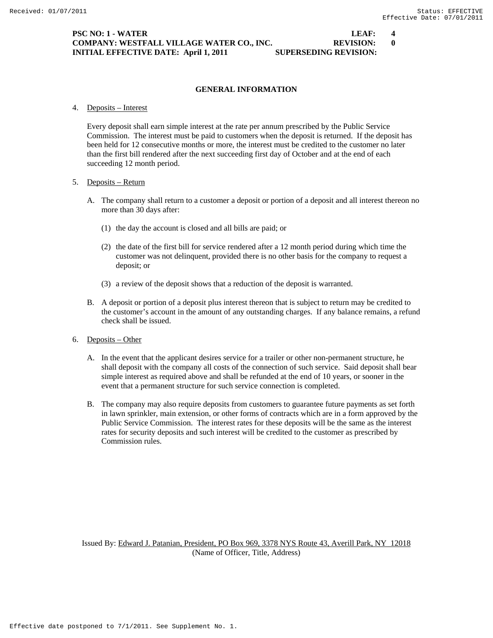# **PSC NO: 1 - WATER LEAF: 4 COMPANY: WESTFALL VILLAGE WATER CO., INC. REVISION: 0 INITIAL EFFECTIVE DATE: April 1, 2011 SUPERSEDING REVISION:**

# **GENERAL INFORMATION**

4. Deposits – Interest

 Every deposit shall earn simple interest at the rate per annum prescribed by the Public Service Commission. The interest must be paid to customers when the deposit is returned. If the deposit has been held for 12 consecutive months or more, the interest must be credited to the customer no later than the first bill rendered after the next succeeding first day of October and at the end of each succeeding 12 month period.

#### 5. Deposits – Return

- A. The company shall return to a customer a deposit or portion of a deposit and all interest thereon no more than 30 days after:
	- (1) the day the account is closed and all bills are paid; or
	- (2) the date of the first bill for service rendered after a 12 month period during which time the customer was not delinquent, provided there is no other basis for the company to request a deposit; or
	- (3) a review of the deposit shows that a reduction of the deposit is warranted.
- B. A deposit or portion of a deposit plus interest thereon that is subject to return may be credited to the customer's account in the amount of any outstanding charges. If any balance remains, a refund check shall be issued.
- 6. Deposits Other
	- A. In the event that the applicant desires service for a trailer or other non-permanent structure, he shall deposit with the company all costs of the connection of such service. Said deposit shall bear simple interest as required above and shall be refunded at the end of 10 years, or sooner in the event that a permanent structure for such service connection is completed.
	- B. The company may also require deposits from customers to guarantee future payments as set forth in lawn sprinkler, main extension, or other forms of contracts which are in a form approved by the Public Service Commission. The interest rates for these deposits will be the same as the interest rates for security deposits and such interest will be credited to the customer as prescribed by Commission rules.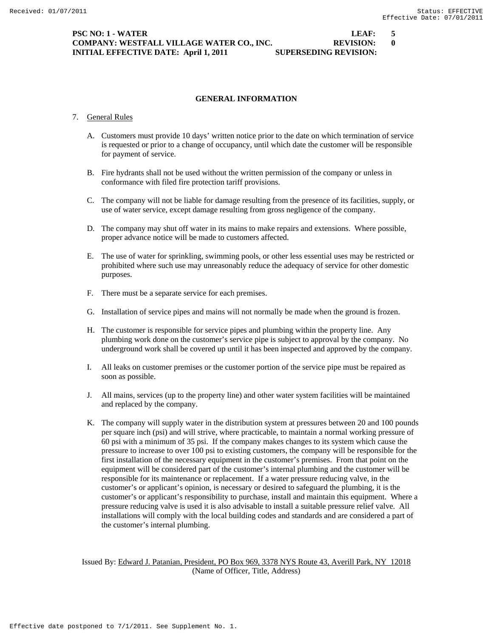# **PSC NO: 1 - WATER LEAF: 5 COMPANY: WESTFALL VILLAGE WATER CO., INC. REVISION: 0 INITIAL EFFECTIVE DATE: April 1, 2011 SUPERSEDING REVISION:**

# **GENERAL INFORMATION**

#### 7. General Rules

- A. Customers must provide 10 days' written notice prior to the date on which termination of service is requested or prior to a change of occupancy, until which date the customer will be responsible for payment of service.
- B. Fire hydrants shall not be used without the written permission of the company or unless in conformance with filed fire protection tariff provisions.
- C. The company will not be liable for damage resulting from the presence of its facilities, supply, or use of water service, except damage resulting from gross negligence of the company.
- D. The company may shut off water in its mains to make repairs and extensions. Where possible, proper advance notice will be made to customers affected.
- E. The use of water for sprinkling, swimming pools, or other less essential uses may be restricted or prohibited where such use may unreasonably reduce the adequacy of service for other domestic purposes.
- F. There must be a separate service for each premises.
- G. Installation of service pipes and mains will not normally be made when the ground is frozen.
- H. The customer is responsible for service pipes and plumbing within the property line. Any plumbing work done on the customer's service pipe is subject to approval by the company. No underground work shall be covered up until it has been inspected and approved by the company.
- I. All leaks on customer premises or the customer portion of the service pipe must be repaired as soon as possible.
- J. All mains, services (up to the property line) and other water system facilities will be maintained and replaced by the company.
- K. The company will supply water in the distribution system at pressures between 20 and 100 pounds per square inch (psi) and will strive, where practicable, to maintain a normal working pressure of 60 psi with a minimum of 35 psi. If the company makes changes to its system which cause the pressure to increase to over 100 psi to existing customers, the company will be responsible for the first installation of the necessary equipment in the customer's premises. From that point on the equipment will be considered part of the customer's internal plumbing and the customer will be responsible for its maintenance or replacement. If a water pressure reducing valve, in the customer's or applicant's opinion, is necessary or desired to safeguard the plumbing, it is the customer's or applicant's responsibility to purchase, install and maintain this equipment. Where a pressure reducing valve is used it is also advisable to install a suitable pressure relief valve. All installations will comply with the local building codes and standards and are considered a part of the customer's internal plumbing.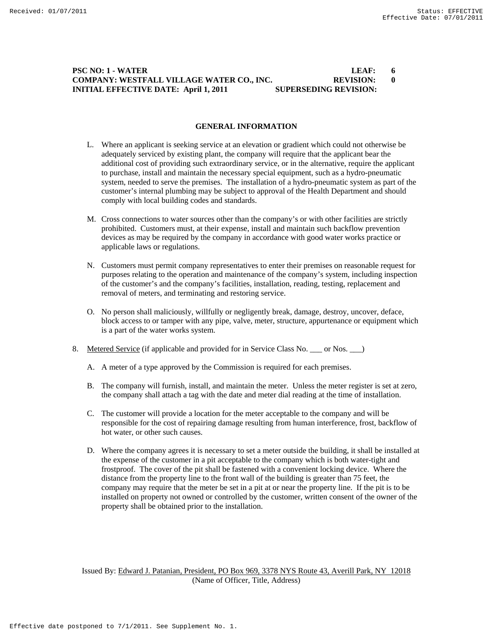# **PSC NO: 1 - WATER LEAF: 6 COMPANY: WESTFALL VILLAGE WATER CO., INC. REVISION: 0 INITIAL EFFECTIVE DATE: April 1, 2011 SUPERSEDING REVISION:**

## **GENERAL INFORMATION**

- L. Where an applicant is seeking service at an elevation or gradient which could not otherwise be adequately serviced by existing plant, the company will require that the applicant bear the additional cost of providing such extraordinary service, or in the alternative, require the applicant to purchase, install and maintain the necessary special equipment, such as a hydro-pneumatic system, needed to serve the premises. The installation of a hydro-pneumatic system as part of the customer's internal plumbing may be subject to approval of the Health Department and should comply with local building codes and standards.
- M. Cross connections to water sources other than the company's or with other facilities are strictly prohibited. Customers must, at their expense, install and maintain such backflow prevention devices as may be required by the company in accordance with good water works practice or applicable laws or regulations.
- N. Customers must permit company representatives to enter their premises on reasonable request for purposes relating to the operation and maintenance of the company's system, including inspection of the customer's and the company's facilities, installation, reading, testing, replacement and removal of meters, and terminating and restoring service.
- O. No person shall maliciously, willfully or negligently break, damage, destroy, uncover, deface, block access to or tamper with any pipe, valve, meter, structure, appurtenance or equipment which is a part of the water works system.
- 8. Metered Service (if applicable and provided for in Service Class No. \_\_\_ or Nos. \_\_\_)
	- A. A meter of a type approved by the Commission is required for each premises.
	- B. The company will furnish, install, and maintain the meter. Unless the meter register is set at zero, the company shall attach a tag with the date and meter dial reading at the time of installation.
	- C. The customer will provide a location for the meter acceptable to the company and will be responsible for the cost of repairing damage resulting from human interference, frost, backflow of hot water, or other such causes.
	- D. Where the company agrees it is necessary to set a meter outside the building, it shall be installed at the expense of the customer in a pit acceptable to the company which is both water-tight and frostproof. The cover of the pit shall be fastened with a convenient locking device. Where the distance from the property line to the front wall of the building is greater than 75 feet, the company may require that the meter be set in a pit at or near the property line. If the pit is to be installed on property not owned or controlled by the customer, written consent of the owner of the property shall be obtained prior to the installation.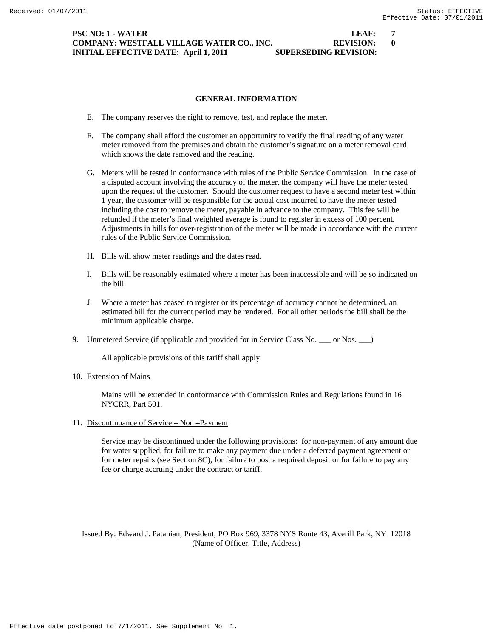# **PSC NO: 1 - WATER LEAF: 7 COMPANY: WESTFALL VILLAGE WATER CO., INC. REVISION: 0 INITIAL EFFECTIVE DATE: April 1, 2011 SUPERSEDING REVISION:**

**GENERAL INFORMATION** 

- E. The company reserves the right to remove, test, and replace the meter.
- F. The company shall afford the customer an opportunity to verify the final reading of any water meter removed from the premises and obtain the customer's signature on a meter removal card which shows the date removed and the reading.
- G. Meters will be tested in conformance with rules of the Public Service Commission. In the case of a disputed account involving the accuracy of the meter, the company will have the meter tested upon the request of the customer. Should the customer request to have a second meter test within 1 year, the customer will be responsible for the actual cost incurred to have the meter tested including the cost to remove the meter, payable in advance to the company. This fee will be refunded if the meter's final weighted average is found to register in excess of 100 percent. Adjustments in bills for over-registration of the meter will be made in accordance with the current rules of the Public Service Commission.
- H. Bills will show meter readings and the dates read.
- I. Bills will be reasonably estimated where a meter has been inaccessible and will be so indicated on the bill.
- J. Where a meter has ceased to register or its percentage of accuracy cannot be determined, an estimated bill for the current period may be rendered. For all other periods the bill shall be the minimum applicable charge.
- 9. Unmetered Service (if applicable and provided for in Service Class No. \_\_\_ or Nos. \_\_\_)

All applicable provisions of this tariff shall apply.

10. Extension of Mains

 Mains will be extended in conformance with Commission Rules and Regulations found in 16 NYCRR, Part 501.

11. Discontinuance of Service – Non –Payment

 Service may be discontinued under the following provisions: for non-payment of any amount due for water supplied, for failure to make any payment due under a deferred payment agreement or for meter repairs (see Section 8C), for failure to post a required deposit or for failure to pay any fee or charge accruing under the contract or tariff.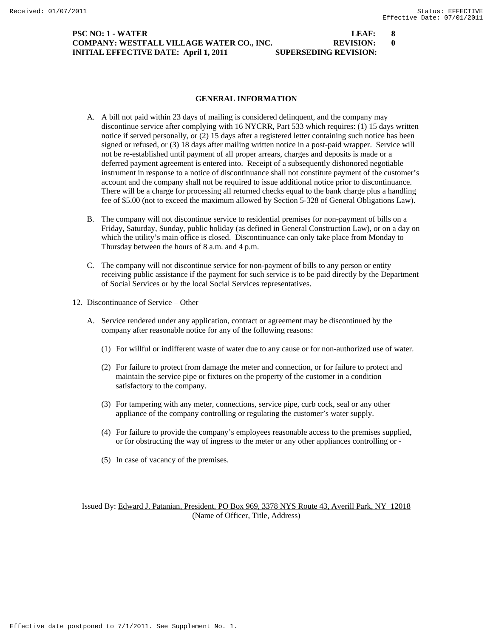# **PSC NO: 1 - WATER LEAF: 8 COMPANY: WESTFALL VILLAGE WATER CO., INC. REVISION: 0 INITIAL EFFECTIVE DATE: April 1, 2011 SUPERSEDING REVISION:**

**GENERAL INFORMATION** 

- A. A bill not paid within 23 days of mailing is considered delinquent, and the company may discontinue service after complying with 16 NYCRR, Part 533 which requires: (1) 15 days written notice if served personally, or (2) 15 days after a registered letter containing such notice has been signed or refused, or (3) 18 days after mailing written notice in a post-paid wrapper. Service will not be re-established until payment of all proper arrears, charges and deposits is made or a deferred payment agreement is entered into. Receipt of a subsequently dishonored negotiable instrument in response to a notice of discontinuance shall not constitute payment of the customer's account and the company shall not be required to issue additional notice prior to discontinuance. There will be a charge for processing all returned checks equal to the bank charge plus a handling fee of \$5.00 (not to exceed the maximum allowed by Section 5-328 of General Obligations Law).
- B. The company will not discontinue service to residential premises for non-payment of bills on a Friday, Saturday, Sunday, public holiday (as defined in General Construction Law), or on a day on which the utility's main office is closed. Discontinuance can only take place from Monday to Thursday between the hours of 8 a.m. and 4 p.m.
- C. The company will not discontinue service for non-payment of bills to any person or entity receiving public assistance if the payment for such service is to be paid directly by the Department of Social Services or by the local Social Services representatives.
- 12. Discontinuance of Service Other
	- A. Service rendered under any application, contract or agreement may be discontinued by the company after reasonable notice for any of the following reasons:
		- (1) For willful or indifferent waste of water due to any cause or for non-authorized use of water.
		- (2) For failure to protect from damage the meter and connection, or for failure to protect and maintain the service pipe or fixtures on the property of the customer in a condition satisfactory to the company.
		- (3) For tampering with any meter, connections, service pipe, curb cock, seal or any other appliance of the company controlling or regulating the customer's water supply.
		- (4) For failure to provide the company's employees reasonable access to the premises supplied, or for obstructing the way of ingress to the meter or any other appliances controlling or -
		- (5) In case of vacancy of the premises.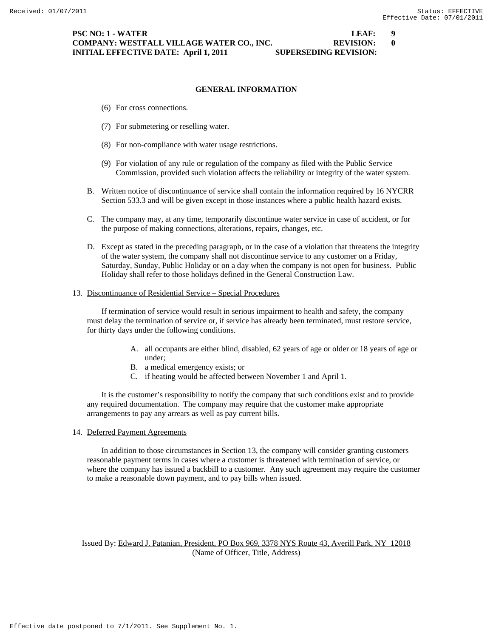# **PSC NO: 1 - WATER LEAF: 9 COMPANY: WESTFALL VILLAGE WATER CO., INC. REVISION: 0 INITIAL EFFECTIVE DATE: April 1, 2011 SUPERSEDING REVISION:**

## **GENERAL INFORMATION**

- (6) For cross connections.
- (7) For submetering or reselling water.
- (8) For non-compliance with water usage restrictions.
- (9) For violation of any rule or regulation of the company as filed with the Public Service Commission, provided such violation affects the reliability or integrity of the water system.
- B. Written notice of discontinuance of service shall contain the information required by 16 NYCRR Section 533.3 and will be given except in those instances where a public health hazard exists.
- C. The company may, at any time, temporarily discontinue water service in case of accident, or for the purpose of making connections, alterations, repairs, changes, etc.
- D. Except as stated in the preceding paragraph, or in the case of a violation that threatens the integrity of the water system, the company shall not discontinue service to any customer on a Friday, Saturday, Sunday, Public Holiday or on a day when the company is not open for business. Public Holiday shall refer to those holidays defined in the General Construction Law.

#### 13. Discontinuance of Residential Service – Special Procedures

 If termination of service would result in serious impairment to health and safety, the company must delay the termination of service or, if service has already been terminated, must restore service, for thirty days under the following conditions.

- A. all occupants are either blind, disabled, 62 years of age or older or 18 years of age or under;
- B. a medical emergency exists; or
- C. if heating would be affected between November 1 and April 1.

 It is the customer's responsibility to notify the company that such conditions exist and to provide any required documentation. The company may require that the customer make appropriate arrangements to pay any arrears as well as pay current bills.

14. Deferred Payment Agreements

 In addition to those circumstances in Section 13, the company will consider granting customers reasonable payment terms in cases where a customer is threatened with termination of service, or where the company has issued a backbill to a customer. Any such agreement may require the customer to make a reasonable down payment, and to pay bills when issued.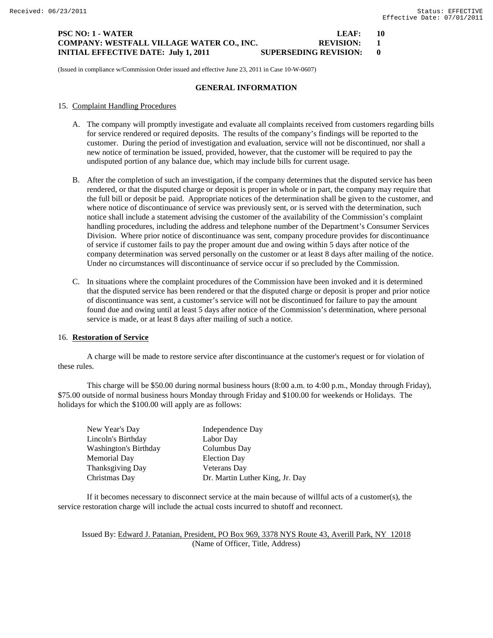# **PSC NO: 1 - WATER LEAF: 10 COMPANY: WESTFALL VILLAGE WATER CO., INC. REVISION: 1 INITIAL EFFECTIVE DATE: July 1, 2011 SUPERSEDING REVISION: 0**

(Issued in compliance w/Commission Order issued and effective June 23, 2011 in Case 10-W-0607)

#### **GENERAL INFORMATION**

- 15. Complaint Handling Procedures
	- A. The company will promptly investigate and evaluate all complaints received from customers regarding bills for service rendered or required deposits. The results of the company's findings will be reported to the customer. During the period of investigation and evaluation, service will not be discontinued, nor shall a new notice of termination be issued, provided, however, that the customer will be required to pay the undisputed portion of any balance due, which may include bills for current usage.
	- B. After the completion of such an investigation, if the company determines that the disputed service has been rendered, or that the disputed charge or deposit is proper in whole or in part, the company may require that the full bill or deposit be paid. Appropriate notices of the determination shall be given to the customer, and where notice of discontinuance of service was previously sent, or is served with the determination, such notice shall include a statement advising the customer of the availability of the Commission's complaint handling procedures, including the address and telephone number of the Department's Consumer Services Division. Where prior notice of discontinuance was sent, company procedure provides for discontinuance of service if customer fails to pay the proper amount due and owing within 5 days after notice of the company determination was served personally on the customer or at least 8 days after mailing of the notice. Under no circumstances will discontinuance of service occur if so precluded by the Commission.
	- C. In situations where the complaint procedures of the Commission have been invoked and it is determined that the disputed service has been rendered or that the disputed charge or deposit is proper and prior notice of discontinuance was sent, a customer's service will not be discontinued for failure to pay the amount found due and owing until at least 5 days after notice of the Commission's determination, where personal service is made, or at least 8 days after mailing of such a notice.

## 16. **Restoration of Service**

A charge will be made to restore service after discontinuance at the customer's request or for violation of these rules.

This charge will be \$50.00 during normal business hours (8:00 a.m. to 4:00 p.m., Monday through Friday), \$75.00 outside of normal business hours Monday through Friday and \$100.00 for weekends or Holidays. The holidays for which the \$100.00 will apply are as follows:

| New Year's Day               | Independence Day                |
|------------------------------|---------------------------------|
| Lincoln's Birthday           | Labor Day                       |
| <b>Washington's Birthday</b> | Columbus Day                    |
| Memorial Day                 | <b>Election Day</b>             |
| <b>Thanksgiving Day</b>      | <b>Veterans Day</b>             |
| Christmas Day                | Dr. Martin Luther King, Jr. Day |

If it becomes necessary to disconnect service at the main because of willful acts of a customer(s), the service restoration charge will include the actual costs incurred to shutoff and reconnect.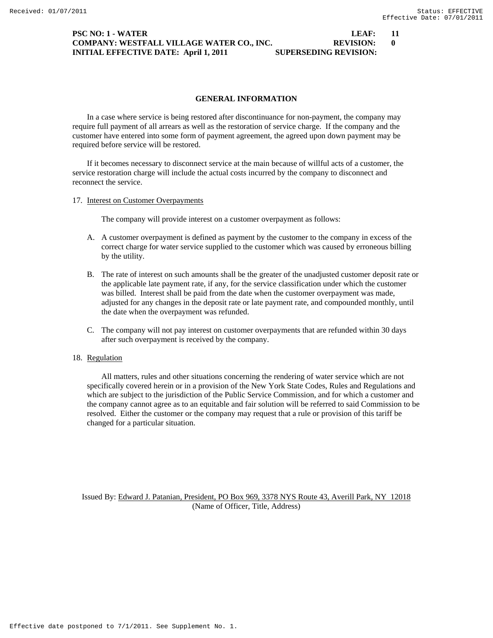# **PSC NO: 1 - WATER LEAF: 11 COMPANY: WESTFALL VILLAGE WATER CO., INC. REVISION: 0 INITIAL EFFECTIVE DATE: April 1, 2011 SUPERSEDING REVISION:**

# **GENERAL INFORMATION**

 In a case where service is being restored after discontinuance for non-payment, the company may require full payment of all arrears as well as the restoration of service charge. If the company and the customer have entered into some form of payment agreement, the agreed upon down payment may be required before service will be restored.

 If it becomes necessary to disconnect service at the main because of willful acts of a customer, the service restoration charge will include the actual costs incurred by the company to disconnect and reconnect the service.

17. Interest on Customer Overpayments

The company will provide interest on a customer overpayment as follows:

- A. A customer overpayment is defined as payment by the customer to the company in excess of the correct charge for water service supplied to the customer which was caused by erroneous billing by the utility.
- B. The rate of interest on such amounts shall be the greater of the unadjusted customer deposit rate or the applicable late payment rate, if any, for the service classification under which the customer was billed. Interest shall be paid from the date when the customer overpayment was made, adjusted for any changes in the deposit rate or late payment rate, and compounded monthly, until the date when the overpayment was refunded.
- C. The company will not pay interest on customer overpayments that are refunded within 30 days after such overpayment is received by the company.

# 18. Regulation

 All matters, rules and other situations concerning the rendering of water service which are not specifically covered herein or in a provision of the New York State Codes, Rules and Regulations and which are subject to the jurisdiction of the Public Service Commission, and for which a customer and the company cannot agree as to an equitable and fair solution will be referred to said Commission to be resolved. Either the customer or the company may request that a rule or provision of this tariff be changed for a particular situation.